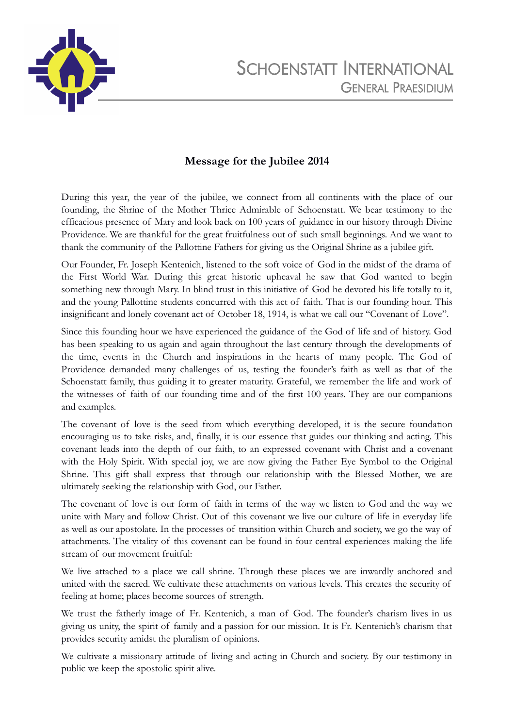

## **Message for the Jubilee 2014**

During this year, the year of the jubilee, we connect from all continents with the place of our founding, the Shrine of the Mother Thrice Admirable of Schoenstatt. We bear testimony to the efficacious presence of Mary and look back on 100 years of guidance in our history through Divine Providence. We are thankful for the great fruitfulness out of such small beginnings. And we want to thank the community of the Pallottine Fathers for giving us the Original Shrine as a jubilee gift.

Our Founder, Fr. Joseph Kentenich, listened to the soft voice of God in the midst of the drama of the First World War. During this great historic upheaval he saw that God wanted to begin something new through Mary. In blind trust in this initiative of God he devoted his life totally to it, and the young Pallottine students concurred with this act of faith. That is our founding hour. This insignificant and lonely covenant act of October 18, 1914, is what we call our "Covenant of Love".

Since this founding hour we have experienced the guidance of the God of life and of history. God has been speaking to us again and again throughout the last century through the developments of the time, events in the Church and inspirations in the hearts of many people. The God of Providence demanded many challenges of us, testing the founder's faith as well as that of the Schoenstatt family, thus guiding it to greater maturity. Grateful, we remember the life and work of the witnesses of faith of our founding time and of the first 100 years. They are our companions and examples.

The covenant of love is the seed from which everything developed, it is the secure foundation encouraging us to take risks, and, finally, it is our essence that guides our thinking and acting. This covenant leads into the depth of our faith, to an expressed covenant with Christ and a covenant with the Holy Spirit. With special joy, we are now giving the Father Eye Symbol to the Original Shrine. This gift shall express that through our relationship with the Blessed Mother, we are ultimately seeking the relationship with God, our Father.

The covenant of love is our form of faith in terms of the way we listen to God and the way we unite with Mary and follow Christ. Out of this covenant we live our culture of life in everyday life as well as our apostolate. In the processes of transition within Church and society, we go the way of attachments. The vitality of this covenant can be found in four central experiences making the life stream of our movement fruitful:

We live attached to a place we call shrine. Through these places we are inwardly anchored and united with the sacred. We cultivate these attachments on various levels. This creates the security of feeling at home; places become sources of strength.

We trust the fatherly image of Fr. Kentenich, a man of God. The founder's charism lives in us giving us unity, the spirit of family and a passion for our mission. It is Fr. Kentenich's charism that provides security amidst the pluralism of opinions.

We cultivate a missionary attitude of living and acting in Church and society. By our testimony in public we keep the apostolic spirit alive.